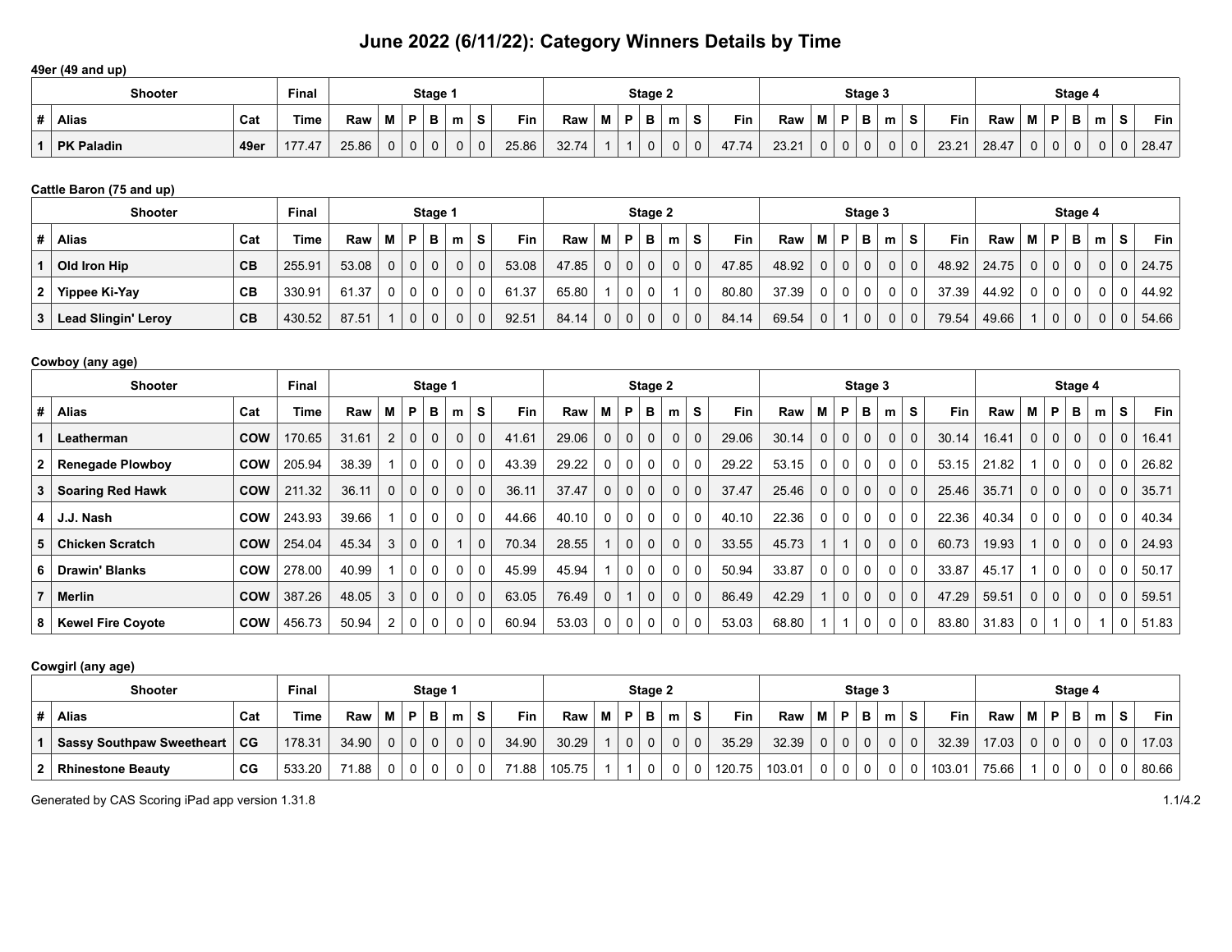**49er (49 and up)**

|   | <b>Shooter</b>    |      | <b>Final</b> |       |   |    | Stage 1 |   |          |       |       |   |   | Stage 2     |   |             |       |       |   |    | Stage 3 |   |             |            |       |   |   | Stage 4 |   |                |            |
|---|-------------------|------|--------------|-------|---|----|---------|---|----------|-------|-------|---|---|-------------|---|-------------|-------|-------|---|----|---------|---|-------------|------------|-------|---|---|---------|---|----------------|------------|
| Ħ | Alias             | Cat  | Time         | Raw   | М | D. | в       | m | S.       | Fin   | Raw   | M | P | в           | m | <b>S</b>    | Fin   | Raw   | м | D. | в       | m | S           | <b>Fin</b> | Raw   |   | Ð | ⋼       | m | $\bullet$<br>Ð | <b>Fin</b> |
|   | <b>PK Paladin</b> | 49er | 177.47       | 25.86 | 0 |    |         |   | $\Omega$ | 25.86 | 32.74 |   |   | $\mathbf 0$ |   | $\mathbf 0$ | 47.74 | 23.21 |   | 0  |         |   | $\mathbf 0$ | 23.21      | 28.47 | 0 | U |         |   |                | 28.47      |

## **Cattle Baron (75 and up)**

| <b>Final</b><br>Stage 1<br><b>Shooter</b> |                            |     |        |       |                |                |                |             |             |       |       | Stage 2  |              |              |                |              |            |       | Stage 3        |                |             |                |          |       |       | Stage 4        |                |          |   |                |       |
|-------------------------------------------|----------------------------|-----|--------|-------|----------------|----------------|----------------|-------------|-------------|-------|-------|----------|--------------|--------------|----------------|--------------|------------|-------|----------------|----------------|-------------|----------------|----------|-------|-------|----------------|----------------|----------|---|----------------|-------|
|                                           | <b>Alias</b>               | Cat | Time   | Raw   | MP.            |                | в              | m           | S           | Fin   | Raw   | М        | P            | в            | m              | s            | <b>Fin</b> | Raw   | M              | P              | в           | m <sub>1</sub> | -S       | Fin   | Raw   | M I            | P              | В        | m | S.             | Fin . |
|                                           | Old Iron Hip               | CВ  | 255.91 | 53.08 | 0 <sup>1</sup> | $\overline{0}$ | $\Omega$       | $\mathbf 0$ | $\mathbf 0$ | 53.08 | 47.85 | $\Omega$ | $\mathbf{0}$ | $\mathbf{0}$ | 0 <sup>1</sup> | $\mathbf 0$  | 47.85      | 48.92 | $\overline{0}$ | 0 <sup>1</sup> | $\mathbf 0$ | 0 <sup>1</sup> | $\Omega$ | 48.92 | 24.75 | 0 <sup>1</sup> | 0 <sup>1</sup> | $\Omega$ |   | 0 <sup>1</sup> | 24.75 |
| 2 <sup>1</sup>                            | Yippee Ki-Yay              | CВ  | 330.91 | 61.37 | $\mathbf{0}$   | $\mathbf 0$    | $\Omega$       | 0           | 0           | 61.37 | 65.80 |          | 0            | 0            |                | 0            | 80.80      | 37.39 | 0              | $\Omega$       | 0           | $\Omega$       | $\Omega$ | 37.39 | 44.92 | 0 <sup>1</sup> | 0 <sup>1</sup> | $\Omega$ |   |                | 44.92 |
| ຳ                                         | <b>Lead Slingin' Leroy</b> | CB  | 430.52 | 87.51 |                | $\overline{0}$ | 0 <sub>1</sub> | $\mathbf 0$ | $\mathbf 0$ | 92.51 | 84.14 | $\Omega$ | $\mathbf{0}$ | $\mathbf{0}$ | 0 <sup>1</sup> | $\mathbf{0}$ | 84.14      | 69.54 | 0 <sup>1</sup> |                | $\mathbf 0$ | 0 <sup>1</sup> | $\Omega$ | 79.54 | 49.66 |                | 0 <sup>1</sup> | $\Omega$ |   |                | 54.66 |

### **Cowboy (any age)**

| Final<br><b>Shooter</b><br>Stage 1 |                          |            |        |       |                |                |              |          |             |       |       |             |             | Stage 2      |             |             |       |       |              |              | Stage 3     |             |             |            |       |              |             | Stage 4  |              |              |       |
|------------------------------------|--------------------------|------------|--------|-------|----------------|----------------|--------------|----------|-------------|-------|-------|-------------|-------------|--------------|-------------|-------------|-------|-------|--------------|--------------|-------------|-------------|-------------|------------|-------|--------------|-------------|----------|--------------|--------------|-------|
| #                                  | <b>Alias</b>             | Cat        | Time   | Raw   | м              | P              | в            | m        | s           | Fin   | Raw   | м           | P           | в            | m           | s           | Fin   | Raw   | м            | P            | в           | m           | S           | <b>Fin</b> | Raw   | М            | P           | в        | m            | s            | Fin   |
|                                    | Leatherman               | <b>COW</b> | 170.65 | 31.61 | 2              | $\Omega$       | $\mathbf 0$  |          | $\Omega$    | 41.61 | 29.06 | $\mathbf 0$ | $\mathbf 0$ | $\Omega$     | $\mathbf 0$ | $\Omega$    | 29.06 | 30.14 | $\Omega$     | $\mathbf{0}$ | $\mathbf 0$ | 0           | $\mathbf 0$ | 30.14      | 16.41 | 0            | 0           | $\Omega$ | 0            | $\Omega$     | 16.41 |
| $\mathbf{2}$                       | <b>Renegade Plowboy</b>  | <b>COW</b> | 205.94 | 38.39 |                | $\Omega$       | 0            | 0        |             | 43.39 | 29.22 | $\Omega$    | 0           | 0            | 0           | $\Omega$    | 29.22 | 53.15 | 0            | 0            | $\mathbf 0$ | 0           | 0           | 53.15      | 21.82 |              | 0           | 0        | 0            |              | 26.82 |
| 3                                  | <b>Soaring Red Hawk</b>  | <b>COW</b> | 211.32 | 36.11 | $\Omega$       | $\Omega$       | $\mathbf{0}$ | $\Omega$ | $\Omega$    | 36.11 | 37.47 | $\mathbf 0$ | $\mathbf 0$ | $\mathbf{0}$ | $\mathbf 0$ | $\Omega$    | 37.47 | 25.46 | $\mathbf{0}$ | $\mathbf{0}$ | $\mathbf 0$ | $\mathbf 0$ | $\mathbf 0$ | 25.46      | 35.71 | $\Omega$     | $\mathbf 0$ | $\Omega$ | $\mathbf 0$  | 0            | 35.71 |
| 4                                  | J.J. Nash                | <b>COW</b> | 243.93 | 39.66 |                | $\Omega$       |              | 0        |             | 44.66 | 40.10 | 0           | $\mathbf 0$ | 0            | 0           | $\Omega$    | 40.10 | 22.36 | 0            | 0            | 0           | 0           | $\Omega$    | 22.36      | 40.34 |              | 0           | 0        | $\Omega$     |              | 40.34 |
| 5                                  | <b>Chicken Scratch</b>   | <b>COW</b> | 254.04 | 45.34 | 3              | $\Omega$       | $\mathbf 0$  |          | $\Omega$    | 70.34 | 28.55 |             | $\mathbf 0$ | $\Omega$     | $\mathbf 0$ | $\Omega$    | 33.55 | 45.73 |              |              | $\mathbf 0$ | 0           | $\Omega$    | 60.73      | 19.93 |              | $\mathbf 0$ | $\Omega$ | $\mathbf{0}$ | $\Omega$     | 24.93 |
| 6                                  | <b>Drawin' Blanks</b>    | <b>COW</b> | 278.00 | 40.99 |                | $\overline{0}$ | 0            | 0        |             | 45.99 | 45.94 |             | $\mathbf 0$ | 0            | 0           | $\Omega$    | 50.94 | 33.87 | 0            | 0            | $\mathbf 0$ | 0           | $\mathbf 0$ | 33.87      | 45.17 |              | 0           | 0        | 0            |              | 50.17 |
|                                    | Merlin                   | <b>COW</b> | 387.26 | 48.05 | 3              | $\overline{0}$ | $\mathbf 0$  | $\Omega$ | $\mathbf 0$ | 63.05 | 76.49 | 0           |             | $\mathbf 0$  | 0           | $\mathbf 0$ | 86.49 | 42.29 |              | $\mathbf{0}$ | $\mathbf 0$ | 0           | $\mathbf 0$ | 47.29      | 59.51 | $\mathbf{0}$ | $\mathbf 0$ | 0        | $\mathbf 0$  | $\mathbf{0}$ | 59.51 |
| 8                                  | <b>Kewel Fire Coyote</b> | <b>COW</b> | 456.73 | 50.94 | $\overline{2}$ | 0              | $\mathbf{0}$ | 0        |             | 60.94 | 53.03 | 0           | $\mathbf 0$ | 0            | 0           | 0           | 53.03 | 68.80 |              |              | 0           | 0           | 0           | 83.80      | 31.83 | 0            |             | 0        |              |              | 51.83 |

## **Cowgirl (any age)**

| <b>Shooter</b>                   |     | <b>Final</b> |                   |                |                | Stage 1  |   |             |          |        |   |          | Stage 2        |          |          |        |        |                |             | Stage 3      |                |          |        |       |          |          | Stage 4  |   |   |             |
|----------------------------------|-----|--------------|-------------------|----------------|----------------|----------|---|-------------|----------|--------|---|----------|----------------|----------|----------|--------|--------|----------------|-------------|--------------|----------------|----------|--------|-------|----------|----------|----------|---|---|-------------|
| <b>Alias</b>                     | Cat | Time         | Raw               | ⊺M I P '       |                | B        | m | ∣S.         | Fin      | Raw    | М | P        | - B -          | m        | S.       | Fin    | Raw    | M I            | P           | в.           | m              | s        | Fin    | Raw   | M l      | ∣ P      | в        | m | S | Fin $\vert$ |
| <b>Sassy Southpaw Sweetheart</b> | CG  | 178.31       | 34.90             | $\Omega$       | $\overline{0}$ | $\Omega$ |   | $\Omega$    | 34.90    | 30.29  |   | $\Omega$ | $\overline{0}$ | $\Omega$ | $\Omega$ | 35.29  | 32.39  | 0 <sup>1</sup> | $\Omega$    | $\mathbf{0}$ | 0 <sup>1</sup> | $\Omega$ | 32.39  | 17.03 | $\Omega$ | $\Omega$ | $\Omega$ |   |   | 17.03       |
| <b>Rhinestone Beauty</b>         | CG  | 533.20       | $71.88$ $\vert$ . | 0 <sup>1</sup> | $\overline{0}$ | $\Omega$ |   | $\mathbf 0$ | $71.88+$ | 105.75 |   |          | $\overline{0}$ | 0        | 0        | 120.75 | 103.01 |                | $\mathbf 0$ | $\mathbf 0$  | 0              |          | 103.01 | 75.66 |          |          |          |   |   | 80.66       |

Generated by CAS Scoring iPad app version 1.31.8 1.1/4.2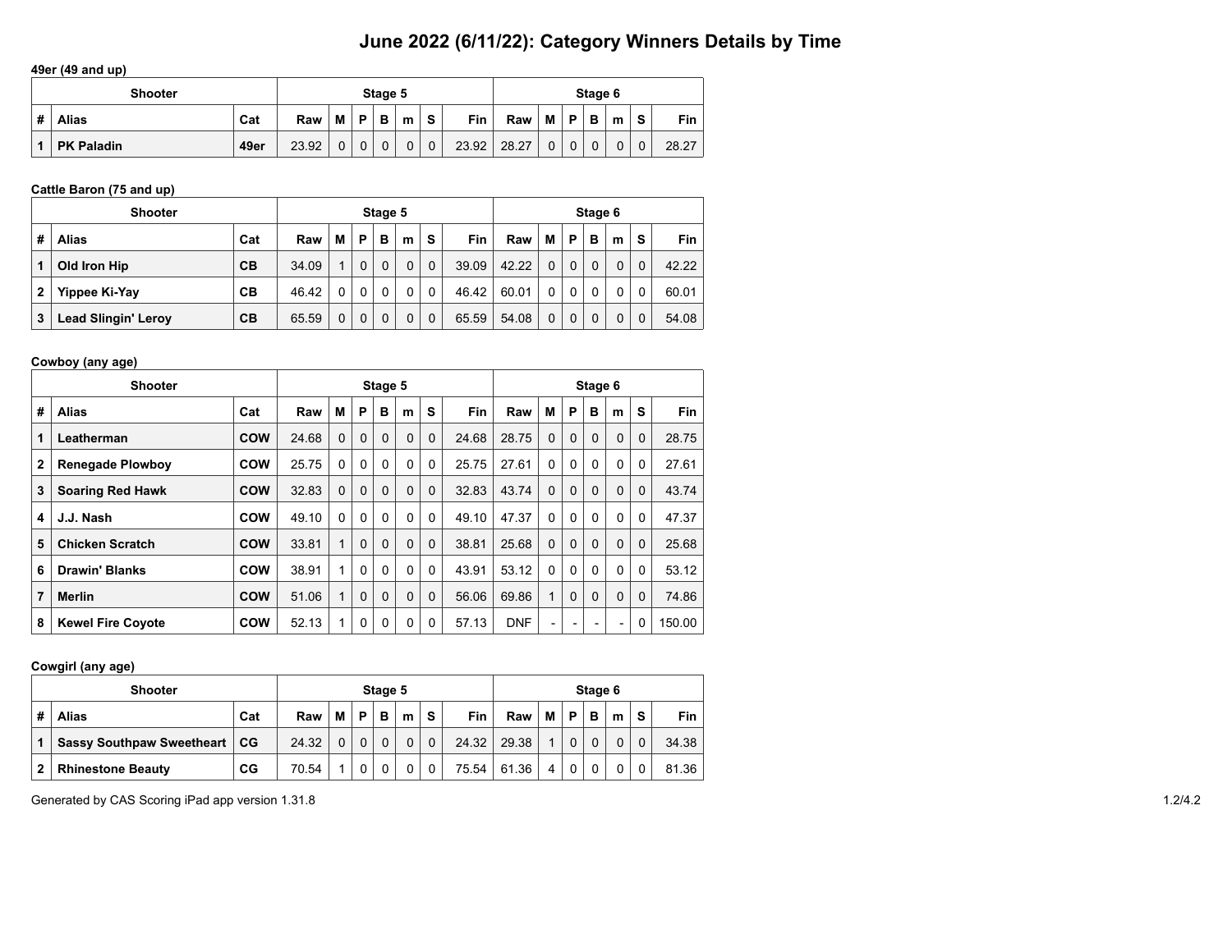#### **49er (49 and up)**

|   | <b>Shooter</b>    |      |       |          |          | Stage 5     |             |              |            |       |              |             | Stage 6     |   |             |            |
|---|-------------------|------|-------|----------|----------|-------------|-------------|--------------|------------|-------|--------------|-------------|-------------|---|-------------|------------|
| # | <b>Alias</b>      | Cat  | Raw   | M        | D        | в           | m           | S            | <b>Fin</b> | Raw   | м            | P           | в           | m | S           | <b>Fin</b> |
|   | <b>PK Paladin</b> | 49er | 23.92 | $\Omega$ | $\Omega$ | $\mathbf 0$ | $\mathbf 0$ | $\mathbf{0}$ | 23.92      | 28.27 | $\mathbf{0}$ | $\mathbf 0$ | $\mathbf 0$ |   | $\mathbf 0$ | 28.27      |

## **Cattle Baron (75 and up)**

|   | <b>Shooter</b>             |     |       |          |          | Stage 5  |          |              |       |       |          |             | Stage 6  |   |             |       |
|---|----------------------------|-----|-------|----------|----------|----------|----------|--------------|-------|-------|----------|-------------|----------|---|-------------|-------|
| # | <b>Alias</b>               | Cat | Raw   | M        | P        | в        | m        | S            | Fin   | Raw   | м        | P           | в        | m | S           | Fin.  |
| 1 | Old Iron Hip               | CВ  | 34.09 |          | $\Omega$ | $\Omega$ | $\Omega$ | $\mathbf{0}$ | 39.09 | 42.22 | 0        | $\mathbf 0$ | $\Omega$ |   | $\Omega$    | 42.22 |
| 2 | Yippee Ki-Yay              | CВ  | 46.42 | $\Omega$ | $\Omega$ | $\Omega$ | $\Omega$ | $\mathbf{0}$ | 46.42 | 60.01 | 0        | 0           | $\Omega$ |   | $\Omega$    | 60.01 |
| 3 | <b>Lead Slingin' Leroy</b> | CВ  | 65.59 |          | $\Omega$ | $\Omega$ | $\Omega$ | $\mathbf{0}$ | 65.59 | 54.08 | $\Omega$ | $\mathbf 0$ | $\Omega$ |   | $\mathbf 0$ | 54.08 |

## **Cowboy (any age)**

|   | <b>Shooter</b>           |            |       |          |          | Stage 5      |   |          |            |            |          |                          | Stage 6                  |                          |          |            |
|---|--------------------------|------------|-------|----------|----------|--------------|---|----------|------------|------------|----------|--------------------------|--------------------------|--------------------------|----------|------------|
| # | <b>Alias</b>             | Cat        | Raw   | М        | P        | в            | m | S        | <b>Fin</b> | Raw        | М        | P                        | B                        | m                        | S        | <b>Fin</b> |
| 1 | Leatherman               | <b>COW</b> | 24.68 | $\Omega$ | $\Omega$ | $\Omega$     | 0 | $\Omega$ | 24.68      | 28.75      | $\Omega$ | $\Omega$                 | $\mathbf{0}$             | 0                        | $\Omega$ | 28.75      |
| 2 | <b>Renegade Plowboy</b>  | <b>COW</b> | 25.75 | $\Omega$ | 0        | $\Omega$     | 0 | $\Omega$ | 25.75      | 27.61      | $\Omega$ | 0                        | $\Omega$                 | 0                        | $\Omega$ | 27.61      |
| 3 | <b>Soaring Red Hawk</b>  | <b>COW</b> | 32.83 | 0        | $\Omega$ | $\Omega$     | 0 | $\Omega$ | 32.83      | 43.74      | $\Omega$ | $\Omega$                 | 0                        | 0                        | $\Omega$ | 43.74      |
| 4 | J.J. Nash                | <b>COW</b> | 49.10 | $\Omega$ | $\Omega$ | $\mathbf{0}$ | 0 | $\Omega$ | 49.10      | 47.37      | $\Omega$ | $\Omega$                 | $\Omega$                 | 0                        | $\Omega$ | 47.37      |
| 5 | <b>Chicken Scratch</b>   | <b>COW</b> | 33.81 | 1        | $\Omega$ | $\Omega$     | 0 | $\Omega$ | 38.81      | 25.68      | $\Omega$ | $\Omega$                 | 0                        | 0                        | $\Omega$ | 25.68      |
| 6 | <b>Drawin' Blanks</b>    | <b>COW</b> | 38.91 | 1        | $\Omega$ | $\Omega$     | 0 | $\Omega$ | 43.91      | 53.12      | $\Omega$ | $\Omega$                 | 0                        | 0                        | $\Omega$ | 53.12      |
| 7 | <b>Merlin</b>            | <b>COW</b> | 51.06 | 1        | $\Omega$ | $\Omega$     | 0 | $\Omega$ | 56.06      | 69.86      | 4        | $\Omega$                 | $\Omega$                 | 0                        | $\Omega$ | 74.86      |
| 8 | <b>Kewel Fire Coyote</b> | <b>COW</b> | 52.13 |          | 0        | $\mathbf{0}$ | 0 | 0        | 57.13      | <b>DNF</b> | -        | $\overline{\phantom{a}}$ | $\overline{\phantom{0}}$ | $\overline{\phantom{a}}$ | 0        | 150.00     |

## **Cowgirl (any age)**

|   | <b>Shooter</b>                   |     |       |          |          | Stage 5 |   |   |       |       |   |          | Stage 6 |          |          |            |
|---|----------------------------------|-----|-------|----------|----------|---------|---|---|-------|-------|---|----------|---------|----------|----------|------------|
| # | <b>Alias</b>                     | Cat | Raw   | М        | D        | в       | m | s | Fin   | Raw   | М | P        | в       | m        | S        | <b>Fin</b> |
|   | <b>Sassy Southpaw Sweetheart</b> | CG  | 24.32 | $\Omega$ | $\Omega$ |         | 0 | 0 | 24.32 | 29.38 |   | $\Omega$ |         | $\Omega$ | $\Omega$ | 34.38      |
| 2 | <b>Rhinestone Beauty</b>         | CG  | 70.54 |          |          |         | 0 | 0 | 75.54 | 61.36 | 4 | 0        |         |          |          | 81.36      |

Generated by CAS Scoring iPad app version 1.31.8 1.2/4.2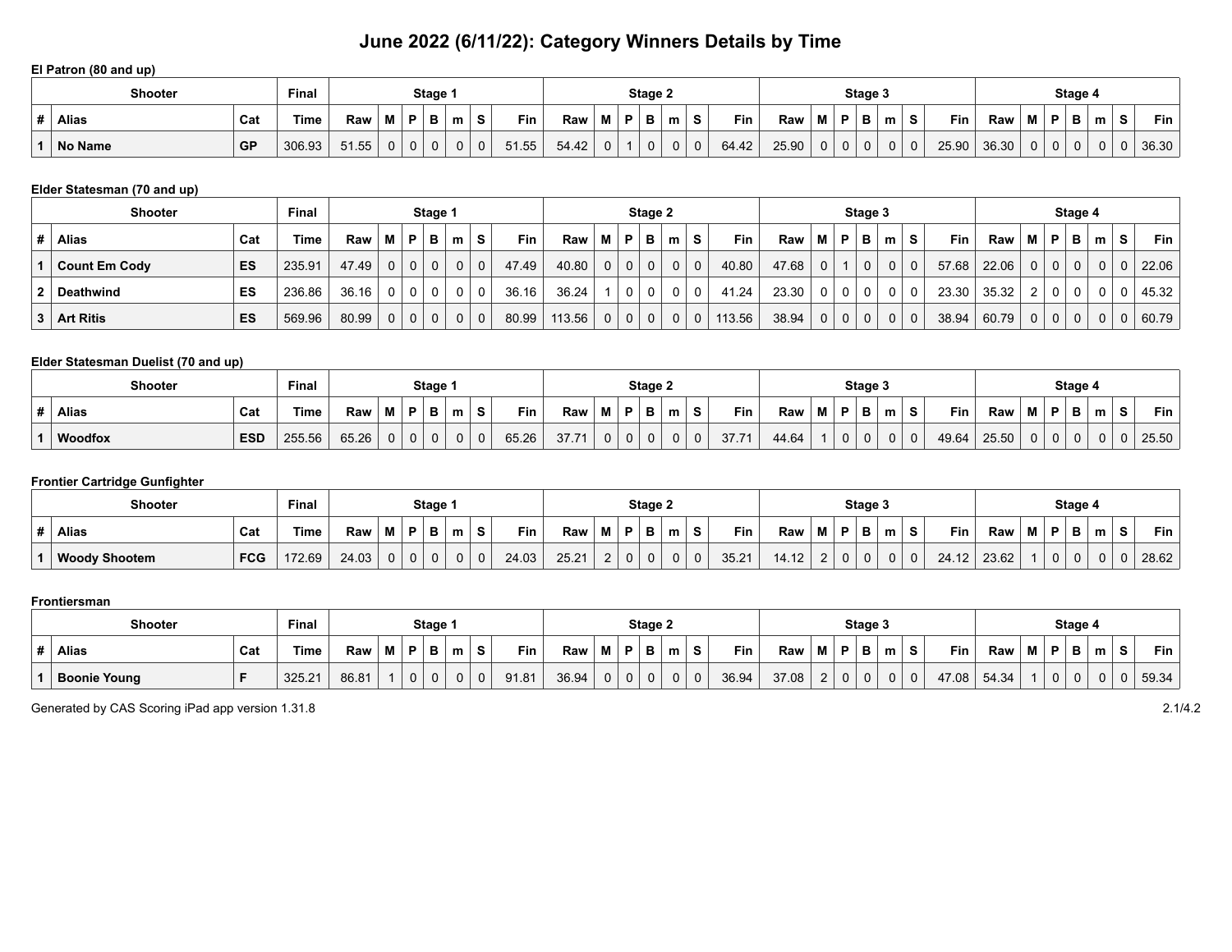#### **El Patron (80 and up)**

|    | <b>Shooter</b> |     | Final  |       |   |    | Stage 1 |   |          |       |       |   |    | Stage 2 |   |              |       |       |   |   | Stage 3     |   |          |       |       |   |    | Stage 4 |   |           |       |
|----|----------------|-----|--------|-------|---|----|---------|---|----------|-------|-------|---|----|---------|---|--------------|-------|-------|---|---|-------------|---|----------|-------|-------|---|----|---------|---|-----------|-------|
| .# | <b>Alias</b>   | Cat | Time   | Raw   | M |    | в       | m |          | Fin   | Raw   | м | в. | в       | m | S            | Fin   | Raw   | М | P | B           | m | S        | Fin   | Raw   | M | в. | D       | m | $\bullet$ | Fin   |
|    | No Name        | GP  | 306.93 | 51.55 | 0 | 0. |         |   | $\Omega$ | 51.55 | 54.42 | 0 |    | 0       | 0 | $\mathbf{0}$ | 64.42 | 25.90 | 0 | 0 | $\mathbf 0$ | 0 | $\Omega$ | 25.90 | 36.30 |   |    |         |   |           | 36.30 |

### **Elder Statesman (70 and up)**

|   | <b>Shooter</b>       |     | <b>Final</b> |                 |                |                | Stage 1  |             |             |       |        |                |              | Stage 2        |                |                |        |       |                |                | Stage 3     |                |          |            |       |                |                | Stage 4  |   |          |       |
|---|----------------------|-----|--------------|-----------------|----------------|----------------|----------|-------------|-------------|-------|--------|----------------|--------------|----------------|----------------|----------------|--------|-------|----------------|----------------|-------------|----------------|----------|------------|-------|----------------|----------------|----------|---|----------|-------|
| # | Alias                | Cat | Time         | Raw             | MP.            |                | в        | m           | S           | Fin   | Raw    | М              | P            | в              | m              | S.             | Fin.   | Raw   | M              | P              | в           | m <sub>1</sub> | -S       | <b>Fin</b> | Raw   | M I            | P              | в        | m | s        | Fin   |
|   | <b>Count Em Cody</b> | ES  | 235.91       | 47.49           | 0 <sup>1</sup> | 0 <sup>1</sup> | $\Omega$ | $\mathbf 0$ | $\mathbf 0$ | 47.49 | 40.80  | 0 <sup>1</sup> | $\mathbf{0}$ | $\mathbf{0}$   | $\mathbf 0$    | $\mathbf 0$    | 40.80  | 47.68 | 0 <sup>1</sup> |                | $\mathbf 0$ | 0 <sup>1</sup> | $\Omega$ | 57.68      | 22.06 | 0 <sup>1</sup> | $\Omega$       | $\Omega$ |   | $\cap$   | 22.06 |
|   | Deathwind            | ES  | 236.86       | $36.16$   0   0 |                |                | $\Omega$ | 0           | 0           | 36.16 | 36.24  |                | $\mathbf{0}$ | $\overline{0}$ | $\mathbf 0$    | $\mathbf 0$    | 41.24  | 23.30 |                | $\Omega$       | 0           | $\mathbf{0}$   | 0        | 23.30      | 35.32 | 2 <sup>1</sup> | $\Omega$       | $\Omega$ |   |          | 45.32 |
| 3 | <b>Art Ritis</b>     | ES  | 569.96       | 80.99           | 0 <sup>1</sup> | $\overline{0}$ | $\Omega$ | 0           | $\mathbf 0$ | 80.99 | 113.56 | $\Omega$       | $\mathbf 0$  | $\mathbf 0$    | 0 <sup>1</sup> | $\overline{0}$ | 113.56 | 38.94 | 0 <sup>1</sup> | 0 <sup>1</sup> | $\mathbf 0$ | 0 <sup>1</sup> | $\Omega$ | 38.94      | 60.79 | 0 <sup>1</sup> | 0 <sup>1</sup> | $\Omega$ |   | $\Omega$ | 60.79 |

### **Elder Statesman Duelist (70 and up)**

| Shooter        |            | Final  |       |   |             | Stage 1 |   |             |       |                |          |   | Stage 2  |   |   |       |       |   |          | Stage 3 |          |    |       |       |          |   | Stage 4 |   |                |       |
|----------------|------------|--------|-------|---|-------------|---------|---|-------------|-------|----------------|----------|---|----------|---|---|-------|-------|---|----------|---------|----------|----|-------|-------|----------|---|---------|---|----------------|-------|
| <b>Alias</b>   | Cat        | Гіmе   | Raw   | M | D           | D       | m | S.          | Fin   | Raw            | M        | P | в        | m | S | Fin   | Raw   | M | D.       | в       | m        | S. | Fin   | Raw   | M        | D |         | m | $\bullet$<br>◡ | Fin   |
| <b>Woodfox</b> | <b>ESD</b> | 255.56 | 65.26 | 0 | $\mathbf 0$ | 0       | 0 | $\mathbf 0$ | 65.26 | 27.74<br>، ، ن | $\Omega$ | 0 | $\Omega$ |   | 0 | 37.71 | 44.64 |   | $\Omega$ | 0       | $\Omega$ | 0  | 49.64 | 25.50 | $\Omega$ |   |         |   |                | 25.50 |

## **Frontier Cartridge Gunfighter**

| <b>Shooter</b>       |            | <b>Final</b> |       |          |   | Stage    |   |          |       |       |   |          | Stage 2 |   |   |       |       |   | Stage 3 |   |   |            |       |   | Stage 4 |   |            |
|----------------------|------------|--------------|-------|----------|---|----------|---|----------|-------|-------|---|----------|---------|---|---|-------|-------|---|---------|---|---|------------|-------|---|---------|---|------------|
| <b>Alias</b>         | Cat        | Time         | Raw   | M        | P | в        | m | S        | Fin   | Raw   | M | D.       | в       | m | S | Fin   | Raw   | Ð | в       | m | Ð | <b>Fin</b> | Raw   | M | в       | m | <b>Fin</b> |
| <b>Woody Shootem</b> | <b>FCG</b> | 172.69       | 24.03 | $\Omega$ | 0 | $\Omega$ | 0 | $\Omega$ | 24.03 | 25.21 |   | $\Omega$ |         |   | 0 | 35.21 | 14.12 |   | 0       | 0 |   | 24.12      | 23.62 |   |         |   | 28.62      |

#### **Frontiersman**

| <b>Shooter</b>      |     | <b>Final</b> |       |   |             | Stage 1 |   |   |       |       |          |   | Stage 2      |   |          |       |       |   |          | Stage 3 |          |   |            |       |   | Stage 4 |   |           |       |
|---------------------|-----|--------------|-------|---|-------------|---------|---|---|-------|-------|----------|---|--------------|---|----------|-------|-------|---|----------|---------|----------|---|------------|-------|---|---------|---|-----------|-------|
| <b>Alias</b>        | Cat | Гіmе         | Raw   | М | в           |         | m | S | Fin   | Raw   | M        | P | D            | m | S        | Fin   | Raw   | M | Þ        | в       | m        | s | <b>Fin</b> | Raw   | M | P       | m | $\bullet$ | Fin   |
| <b>Boonie Young</b> |     | 325.21       | 86.81 |   | $\mathbf 0$ |         | υ | 0 | 91.81 | 36.94 | $\Omega$ | 0 | $\mathbf{0}$ |   | $\Omega$ | 36.94 | 37.08 |   | $\Omega$ | 0       | $\Omega$ |   | 47.08      | 54.34 |   |         |   |           | 59.34 |

Generated by CAS Scoring iPad app version 1.31.8 2.1/4.2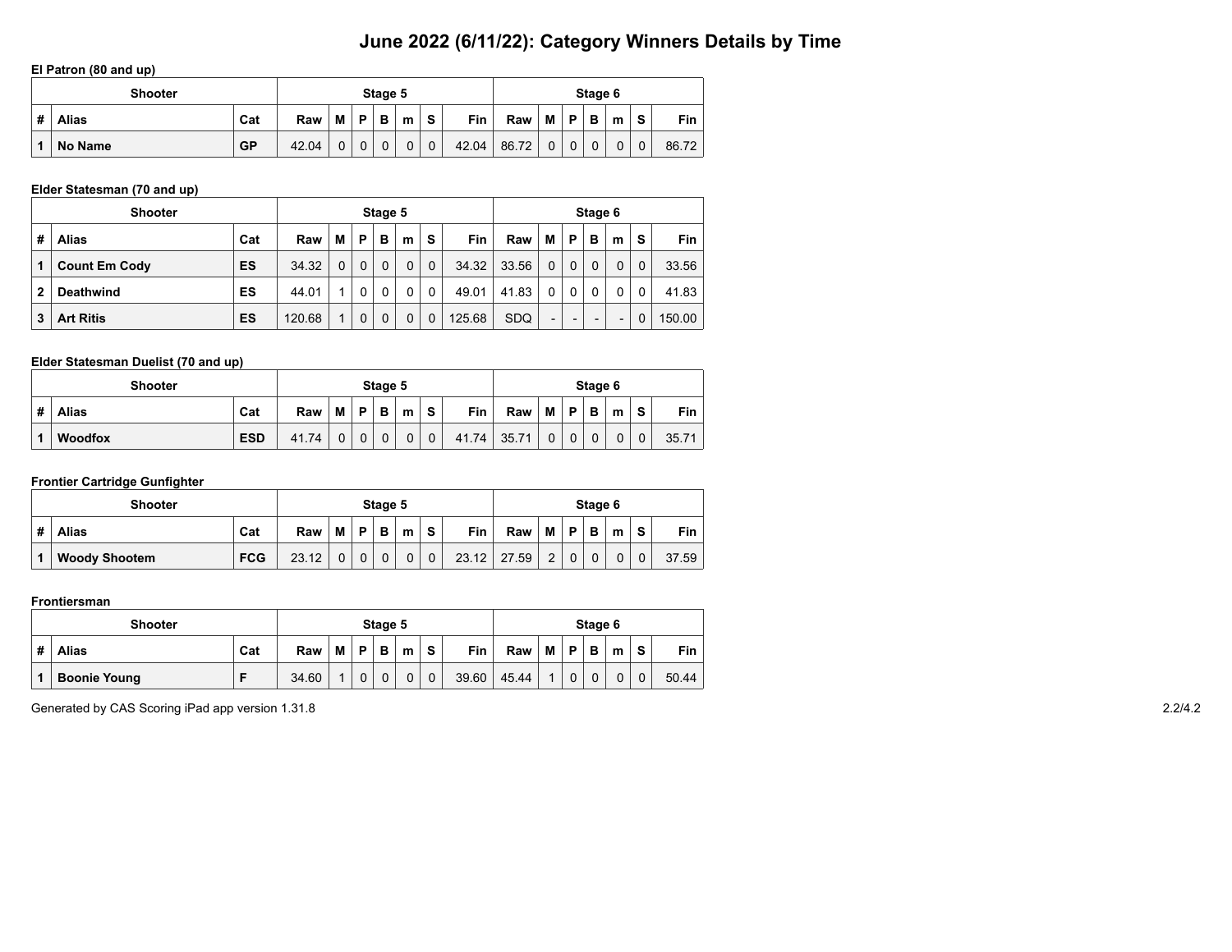#### **El Patron (80 and up)**

|   | <b>Shooter</b> |           |       |   |          | Stage 5      |   |             |       |       |             |             | Stage 6     |   |             |       |
|---|----------------|-----------|-------|---|----------|--------------|---|-------------|-------|-------|-------------|-------------|-------------|---|-------------|-------|
| # | <b>Alias</b>   | Cat       | Raw   | M | P        | B            | m | S           | Fin   | Raw   | М           | P           | в           | m | S           | Fin   |
|   | No Name        | <b>GP</b> | 42.04 |   | $\Omega$ | $\mathbf{0}$ | 0 | $\mathbf 0$ | 42.04 | 86.72 | $\mathbf 0$ | $\mathbf 0$ | $\mathbf 0$ |   | $\mathbf 0$ | 86.72 |

### **Elder Statesman (70 and up)**

|   | <b>Shooter</b>       |     |        |   |          | Stage 5 |          |              |            |            |                          |             | Stage 6                  |   |          |            |
|---|----------------------|-----|--------|---|----------|---------|----------|--------------|------------|------------|--------------------------|-------------|--------------------------|---|----------|------------|
| # | <b>Alias</b>         | Cat | Raw    | м | P        | в       | m        | -S           | <b>Fin</b> | Raw        | м                        | P           | в                        | m | S        | <b>Fin</b> |
|   | <b>Count Em Cody</b> | ES  | 34.32  | 0 | $\Omega$ | 0       | $\Omega$ | $\mathbf 0$  | 34.32      | 33.56      | $\Omega$                 | $\mathbf 0$ | $\Omega$                 | 0 | $\Omega$ | 33.56      |
|   | <b>Deathwind</b>     | ES  | 44.01  |   | $\Omega$ | 0       | $\Omega$ | $\mathbf{0}$ | 49.01      | 41.83      | $\Omega$                 | 0           | $\mathbf{0}$             | 0 | 0        | 41.83      |
| 3 | <b>Art Ritis</b>     | ES  | 120.68 |   | $\Omega$ | 0       | $\Omega$ | $\mathbf 0$  | 125.68     | <b>SDQ</b> | $\overline{\phantom{0}}$ |             | $\overline{\phantom{0}}$ | - | 0        | 150.00     |

### **Elder Statesman Duelist (70 and up)**

|   | <b>Shooter</b> |            |       |   |             | Stage 5 |   |              |       |       |                |             | Stage 6 |   |   |       |
|---|----------------|------------|-------|---|-------------|---------|---|--------------|-------|-------|----------------|-------------|---------|---|---|-------|
| # | <b>Alias</b>   | Cat        | Raw   | M | D           | в       | m | s            | Fin   | Raw   | M I            | <b>P</b>    | B       | m | S | Fin 1 |
|   | <b>Woodfox</b> | <b>ESD</b> | 41.74 |   | $\mathbf 0$ | 0       | 0 | $\mathbf{0}$ | 41.74 | 35.71 | $\overline{0}$ | $\mathbf 0$ | 0       | 0 |   | 35.71 |

### **Frontier Cartridge Gunfighter**

| <b>Shooter</b>                     |       |   |          | Stage 5 |   |              |       |       |                |   | Stage 6 |   |    |       |
|------------------------------------|-------|---|----------|---------|---|--------------|-------|-------|----------------|---|---------|---|----|-------|
| Cat<br>#<br><b>Alias</b>           | Raw   | M | D        | в       | m | $\bullet$    | Fin   | Raw   | М              | Þ | в       | m | S. | Fin   |
| <b>FCG</b><br><b>Woody Shootem</b> | 23.12 |   | $\Omega$ |         |   | $\mathbf{0}$ | 23.12 | 27.59 | $\overline{2}$ |   |         | 0 | 0  | 37.59 |

#### **Frontiersman**

|   | <b>Shooter</b>      |     |       |   |          | Stage 5 |   |              |       |       |                |             | Stage 6     |   |             |       |
|---|---------------------|-----|-------|---|----------|---------|---|--------------|-------|-------|----------------|-------------|-------------|---|-------------|-------|
| # | <b>Alias</b>        | Cat | Raw   | M | D        | B       | m | S            | Fin   | Raw   | М              | P           | в           | m | S           | Fin   |
|   | <b>Boonie Young</b> |     | 34.60 |   | $\Omega$ | 0       |   | $\mathbf{0}$ | 39.60 | 45.44 | $\overline{A}$ | $\mathbf 0$ | $\mathbf 0$ | 0 | $\mathbf 0$ | 50.44 |

Generated by CAS Scoring iPad app version 1.31.8 2.2/4.2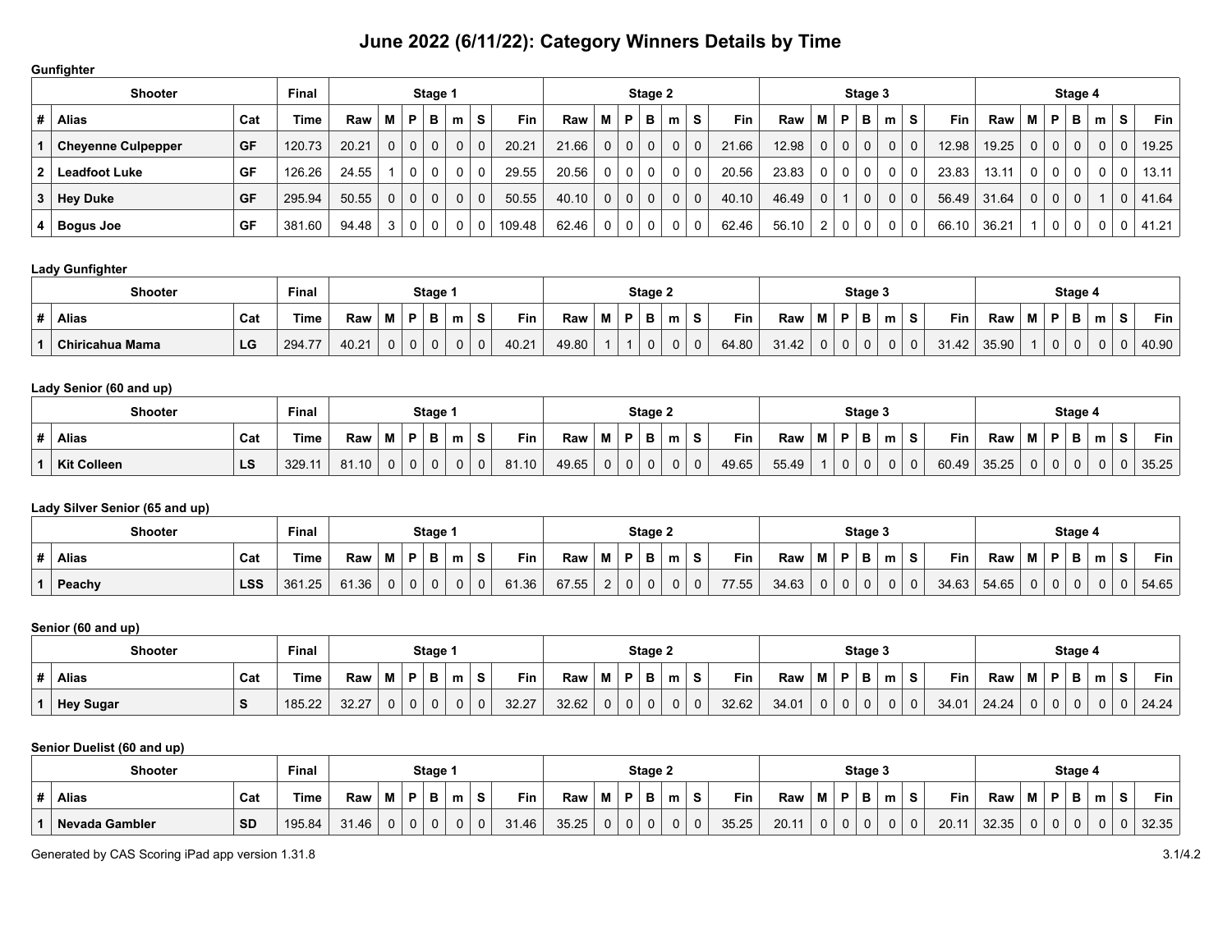#### **Gunfighter**

| <b>Shooter</b>            |           | <b>Final</b> |       |                |              | Stage 1  |   |          |        |       |                |              | Stage 2      |   |              |       |       |                |             | Stage 3     |          |              |            |       |          |   | Stage 4  |   |   |       |
|---------------------------|-----------|--------------|-------|----------------|--------------|----------|---|----------|--------|-------|----------------|--------------|--------------|---|--------------|-------|-------|----------------|-------------|-------------|----------|--------------|------------|-------|----------|---|----------|---|---|-------|
| Alias                     | Cat       | Time         | Raw   | M              | . P          | в        | m | S        | Fin    | Raw   | M              | P            | в            | m | S.           | Fin   | Raw   | м              | P           | в           | m        | s            | <b>Fin</b> | Raw   | м        | P | в        | m | s | Fin   |
| <b>Cheyenne Culpepper</b> | <b>GF</b> | 120.73       | 20.21 | 0 <sup>1</sup> | $\mathbf{0}$ | $\Omega$ | 0 | $\Omega$ | 20.21  | 21.66 | $\Omega$       | $\mathbf 0$  | $\mathbf{0}$ |   | $\mathbf{0}$ | 21.66 | 12.98 | 0 <sup>1</sup> | $\mathbf 0$ | $\mathbf 0$ | $\Omega$ | $\mathbf{0}$ | 12.98      | 19.25 | $\Omega$ |   | $\Omega$ |   | 0 | 19.25 |
| <b>Leadfoot Luke</b>      | GF        | 126.26       | 24.55 |                | 0            |          | 0 | $\Omega$ | 29.55  | 20.56 | $\Omega$       | $\mathbf{0}$ | 0            |   | 0            | 20.56 | 23.83 |                | 0           | $\mathbf 0$ | $\Omega$ |              | 23.83      | 13.11 |          |   |          |   |   | 13.11 |
| <b>Hey Duke</b>           | GF        | 295.94       | 50.55 | 0 <sup>1</sup> | $\mathbf{0}$ | $\Omega$ | 0 | $\Omega$ | 50.55  | 40.10 | $\Omega$       | $\mathbf{0}$ | $\mathbf 0$  |   | $\mathbf 0$  | 40.10 | 46.49 | 0 <sup>1</sup> |             | $\mathbf 0$ | $\Omega$ | $\mathbf 0$  | 56.49      | 31.64 | $\Omega$ | 0 | $\Omega$ |   | O | 41.64 |
| <b>Bogus Joe</b>          | GF        | 381.60       | 94.48 | 3              | 0            | 0        | 0 |          | 109.48 | 62.46 | 0 <sup>1</sup> | $\mathbf{0}$ | 0            |   | 0            | 62.46 | 56.10 |                | 0           | 0           | 0        |              | 66.10      | 36.21 |          |   |          |   |   | 41.21 |

### **Lady Gunfighter**

| <b>Shooter</b>  |     | <b>Final</b> |       |   |   | Stage 1     |   |          |       |       |   |   | Stage 2 |   |   |       |       |   |          | Stage 3 |   |       |       |   |    | Stage 4 |   |   |            |
|-----------------|-----|--------------|-------|---|---|-------------|---|----------|-------|-------|---|---|---------|---|---|-------|-------|---|----------|---------|---|-------|-------|---|----|---------|---|---|------------|
| <b>Alias</b>    | Cat | Time         | Raw   | М | P | B           | m | s        | Fin   | Raw   | M | D | в       | m | s | Fin   | Raw   | М | D        | в       | m | Fin   | Raw   | M | D. | в       | m | s | <b>Fin</b> |
| Chiricahua Mama | LG  | 294.77       | 40.21 | 0 | 0 | $\mathbf 0$ |   | $\Omega$ | 40.21 | 49.80 |   |   |         |   | 0 | 64.80 | 31.42 |   | $\Omega$ |         |   | 31.42 | 35.90 |   |    | 0       |   |   | 40.90      |

### **Lady Senior (60 and up)**

| <b>Shooter</b>     |     | <b>Final</b> |       |   |   | Stage 1     |   |             |       |       |   |    | Stage 2 |   |   |       |       |   |   | Stage 3 |              |       |       |                |    | Stage 4 |   |   |            |
|--------------------|-----|--------------|-------|---|---|-------------|---|-------------|-------|-------|---|----|---------|---|---|-------|-------|---|---|---------|--------------|-------|-------|----------------|----|---------|---|---|------------|
| <b>Alias</b>       | Cat | Time         | Raw   | М | P | B           | m | s           | Fin   | Raw   | M | D. | в       | m | S | Fin   | Raw   | М | D | в       | m            | Fin   | Raw   | M              | D. | в       | m | c | <b>Fin</b> |
| <b>Kit Colleen</b> | LS  | 329.1        | 81.10 | 0 | 0 | $\mathbf 0$ | v | $\mathbf 0$ | 81.10 | 49.65 | U | 0  |         |   | 0 | 49.65 | 55.49 |   | 0 |         | $\mathbf{U}$ | 60.49 | 35.25 | $\overline{0}$ | 0  | 0       |   |   | 35.25      |

## **Lady Silver Senior (65 and up)**

| <b>Shooter</b> |            | <b>Final</b> |       |   |              | Stage 1  |   |             |       |       |   |   | Stage 2      |   |          |       |       |   |          | Stage 3 |          |   |       |       |          |   | Stage 4 |   |    |       |
|----------------|------------|--------------|-------|---|--------------|----------|---|-------------|-------|-------|---|---|--------------|---|----------|-------|-------|---|----------|---------|----------|---|-------|-------|----------|---|---------|---|----|-------|
| <b>Alias</b>   | Cat        | Γime         | Raw   | M | <b>P</b>     |          | m | S.          | Fin   | Raw   | М | P | B            | m | <b>S</b> | Fin   | Raw   | M | D.       | в       | m        | s | Fin   | Raw   | M        | D | P       | m | S. | Fin   |
| Peachy         | <b>LSS</b> | 361.25       | 61.36 | 0 | $\mathbf{0}$ | $\Omega$ | 0 | $\mathbf 0$ | 61.36 | 67.55 |   | 0 | $\mathbf{0}$ | 0 | 0        | 77.55 | 34.63 |   | $\Omega$ | 0       | $\Omega$ | 0 | 34.63 | 54.65 | $\Omega$ |   |         |   |    | 54.65 |

#### **Senior (60 and up)**

| <b>Shooter</b>   |                    | <b>Final</b> |       |              |   | Stage 1  |   |              |       |       |   |             | Stage 2  |          |   |            |       |   |    | Stage 3  |          |          |            |       |              |    | Stage 4  |   |        |            |
|------------------|--------------------|--------------|-------|--------------|---|----------|---|--------------|-------|-------|---|-------------|----------|----------|---|------------|-------|---|----|----------|----------|----------|------------|-------|--------------|----|----------|---|--------|------------|
| <b>Alias</b>     | Cat                | Time         | Raw   | М            | P | в        | m | <b>S</b>     | Fin   | Raw   | М | P           | в        | m        | s | <b>Fin</b> | Raw   | M | D. | в        | m        |          | <b>Fin</b> | Raw   | M I          | D. | в        | m | $\sim$ | <b>Fin</b> |
| <b>Hey Sugar</b> | $\mathbf{\hat{c}}$ | 185.22       | 32.27 | $\mathbf{0}$ | 0 | $\Omega$ |   | $\mathbf{0}$ | 32.27 | 32.62 |   | $\mathbf 0$ | $\Omega$ | $\Omega$ |   | 32.62      | 34.01 |   |    | $\Omega$ | $\Omega$ | $\Omega$ | 34.01      | 24.24 | $\mathbf{0}$ |    | $\Omega$ |   |        | 24.24      |

### **Senior Duelist (60 and up)**

| <b>Shooter</b> |           | Final       |       |              |              | <b>Stage</b> |   |          |       |       |          |   | Stage 2      |   |          |       |       |   |          | Stage 3 |   |   |       |       |                |   | Stage 4 |   |                |       |
|----------------|-----------|-------------|-------|--------------|--------------|--------------|---|----------|-------|-------|----------|---|--------------|---|----------|-------|-------|---|----------|---------|---|---|-------|-------|----------------|---|---------|---|----------------|-------|
| <b>Alias</b>   | Cat       | <b>Time</b> | Raw   | М            | в            | в.           | m | S.       | Fin   | Raw   | M        | P | в            | m | S        | Fin   | Raw   | M | P        | в       | m | S | Fin   | Raw   | M <sub>1</sub> | D | D       | m | $\bullet$<br>C | Fin   |
| Nevada Gambler | <b>SD</b> | 195.84      | 31.46 | $\mathbf{0}$ | $\mathbf{0}$ | $\Omega$     | υ | $\Omega$ | 31.46 | 35.25 | $\Omega$ | 0 | $\mathbf{0}$ |   | $\Omega$ | 35.25 | 20.11 |   | $\Omega$ | 0       | 0 | ◡ | 20.11 | 32.35 | $\Omega$       |   |         |   |                | 32.35 |

Generated by CAS Scoring iPad app version 1.31.8 3.1/4.2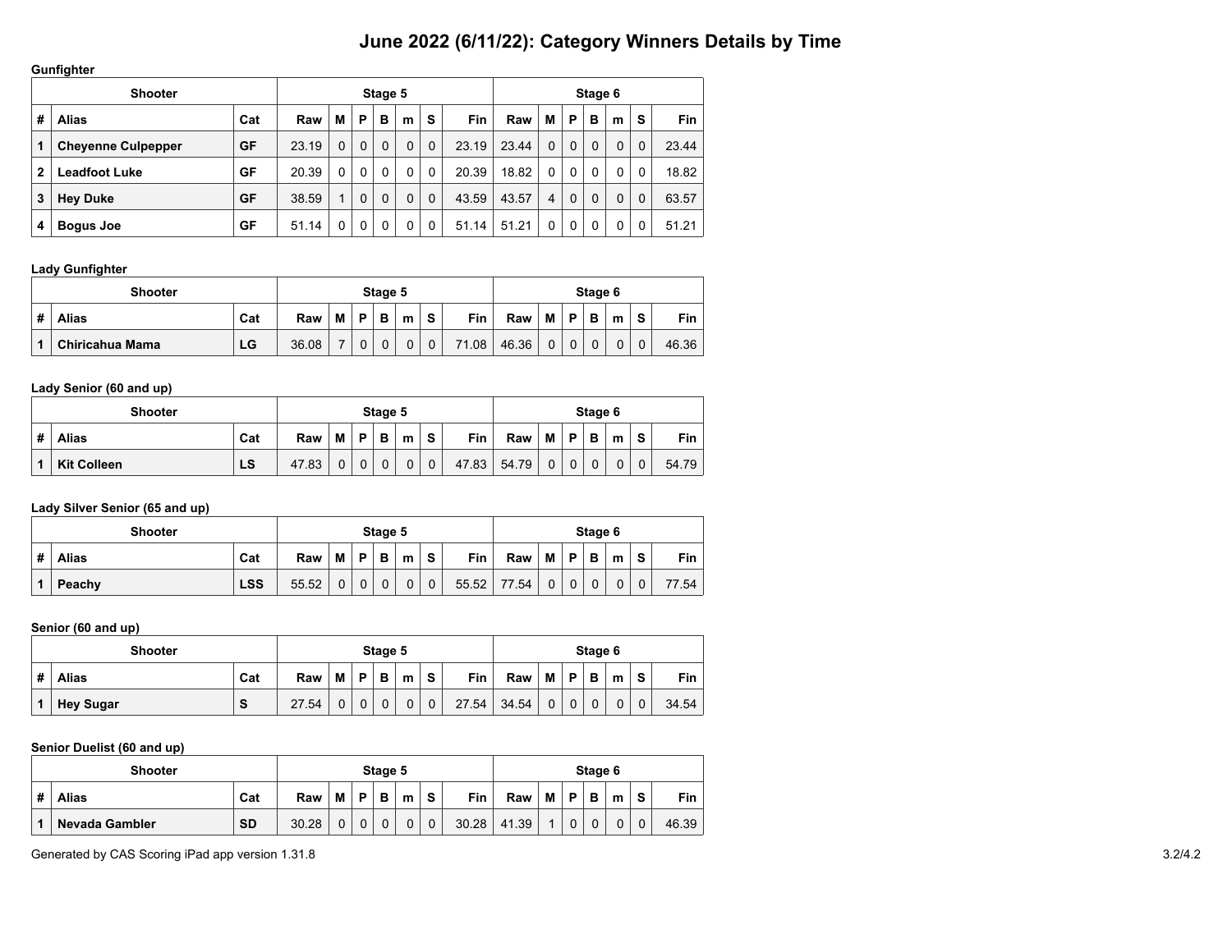#### **Gunfighter**

|              | <b>Shooter</b>            |     |       |   |              | Stage 5  |          |             |            |       |              |          | Stage 6  |          |   |       |
|--------------|---------------------------|-----|-------|---|--------------|----------|----------|-------------|------------|-------|--------------|----------|----------|----------|---|-------|
| #            | <b>Alias</b>              | Cat | Raw   | М | P            | в        | m        | S           | <b>Fin</b> | Raw   | М            | P        | B        | m        | s | Fin   |
| 1            | <b>Cheyenne Culpepper</b> | GF  | 23.19 | 0 | $\Omega$     | $\Omega$ | 0        | 0           | 23.19      | 23.44 | $\Omega$     | $\Omega$ | $\Omega$ | $\Omega$ | 0 | 23.44 |
| $\mathbf{2}$ | Leadfoot Luke             | GF  | 20.39 | 0 | $\mathbf{0}$ | $\Omega$ | $\Omega$ | $\Omega$    | 20.39      | 18.82 | $\mathbf{0}$ | 0        | 0        | 0        | 0 | 18.82 |
| 3            | <b>Hey Duke</b>           | GF  | 38.59 | 4 | $\mathbf{0}$ | $\Omega$ | 0        | $\mathbf 0$ | 43.59      | 43.57 | 4            | $\Omega$ | 0        | $\Omega$ | 0 | 63.57 |
| 4            | <b>Bogus Joe</b>          | GF  | 51.14 | 0 | 0            | 0        | 0        | 0           | 51.14      | 51.21 |              | 0        | 0        | 0        | 0 | 51.21 |

#### **Lady Gunfighter**

|   | <b>Shooter</b>  |     |       |   |   | Stage 5 |   |   |            |       |              |          | Stage 6 |   |          |       |
|---|-----------------|-----|-------|---|---|---------|---|---|------------|-------|--------------|----------|---------|---|----------|-------|
| # | Alias           | Cat | Raw   | M | D | в       | m | S | <b>Fin</b> | Raw   | М            | Þ        | в       | m | S.       | Fin   |
|   | Chiricahua Mama | LG  | 36.08 |   | 0 | 0       |   |   | 71.08      | 46.36 | $\mathbf{0}$ | $\Omega$ |         | 0 | $\Omega$ | 46.36 |

#### **Lady Senior (60 and up)**

|   | <b>Shooter</b>     |           |       |   |             | Stage 5  |             |             |       |       |          |             | Stage 6     |          |              |       |
|---|--------------------|-----------|-------|---|-------------|----------|-------------|-------------|-------|-------|----------|-------------|-------------|----------|--------------|-------|
| # | <b>Alias</b>       | Cat       | Raw   | м | P           | в        | m           | s           | Fin   | Raw   | M I      | P           | В           | m        | S            | Fin   |
|   | <b>Kit Colleen</b> | <b>LS</b> | 47.83 | 0 | $\mathbf 0$ | $\Omega$ | $\mathbf 0$ | $\mathbf 0$ | 47.83 | 54.79 | $\Omega$ | $\mathbf 0$ | $\mathbf 0$ | $\Omega$ | $\mathbf{0}$ | 54.79 |

### **Lady Silver Senior (65 and up)**

|   | <b>Shooter</b> |            |       |   |   | Stage 5  |   |   |       |       |              |             | Stage 6 |   |   |       |
|---|----------------|------------|-------|---|---|----------|---|---|-------|-------|--------------|-------------|---------|---|---|-------|
| # | <b>Alias</b>   | Cat        | Raw   | M | D | B        | m | S | Fin   | Raw   | M            | P           | в       | m | s | Fin   |
|   | Peachy         | <b>LSS</b> | 55.52 | 0 | 0 | $\Omega$ | 0 | 0 | 55.52 | 77.54 | $\mathbf{0}$ | $\mathbf 0$ |         | 0 | 0 | 77.54 |

#### **Senior (60 and up)**

|   | <b>Shooter</b> |                 |       |   |             | Stage 5 |   |             |       |       |          |             | Stage 6 |   |   |       |
|---|----------------|-----------------|-------|---|-------------|---------|---|-------------|-------|-------|----------|-------------|---------|---|---|-------|
| # | <b>Alias</b>   | Cat             | Raw   | м | D.          | в       | m | s           | Fin   | Raw   | м        | P           | в       | m | S | Fin   |
|   | Hey Sugar      | $\epsilon$<br>o | 27.54 |   | $\mathbf 0$ | 0       | 0 | $\mathbf 0$ | 27.54 | 34.54 | $\Omega$ | $\mathbf 0$ | 0       | 0 |   | 34.54 |

### **Senior Duelist (60 and up)**

|   | <b>Shooter</b> |           |       |   |   | Stage 5 |   |   |       |       |   |              | Stage 6 |   |          |       |
|---|----------------|-----------|-------|---|---|---------|---|---|-------|-------|---|--------------|---------|---|----------|-------|
| # | <b>Alias</b>   | Cat       | Raw   | M | D | в       | m | s | Fin   | Raw   | М | D            | в       | m | S        | Fin   |
|   | Nevada Gambler | <b>SD</b> | 30.28 |   | 0 |         | 0 | 0 | 30.28 | 41.39 |   | $\mathbf{0}$ |         | 0 | $\Omega$ | 46.39 |

Generated by CAS Scoring iPad app version 1.31.8 3.2/4.2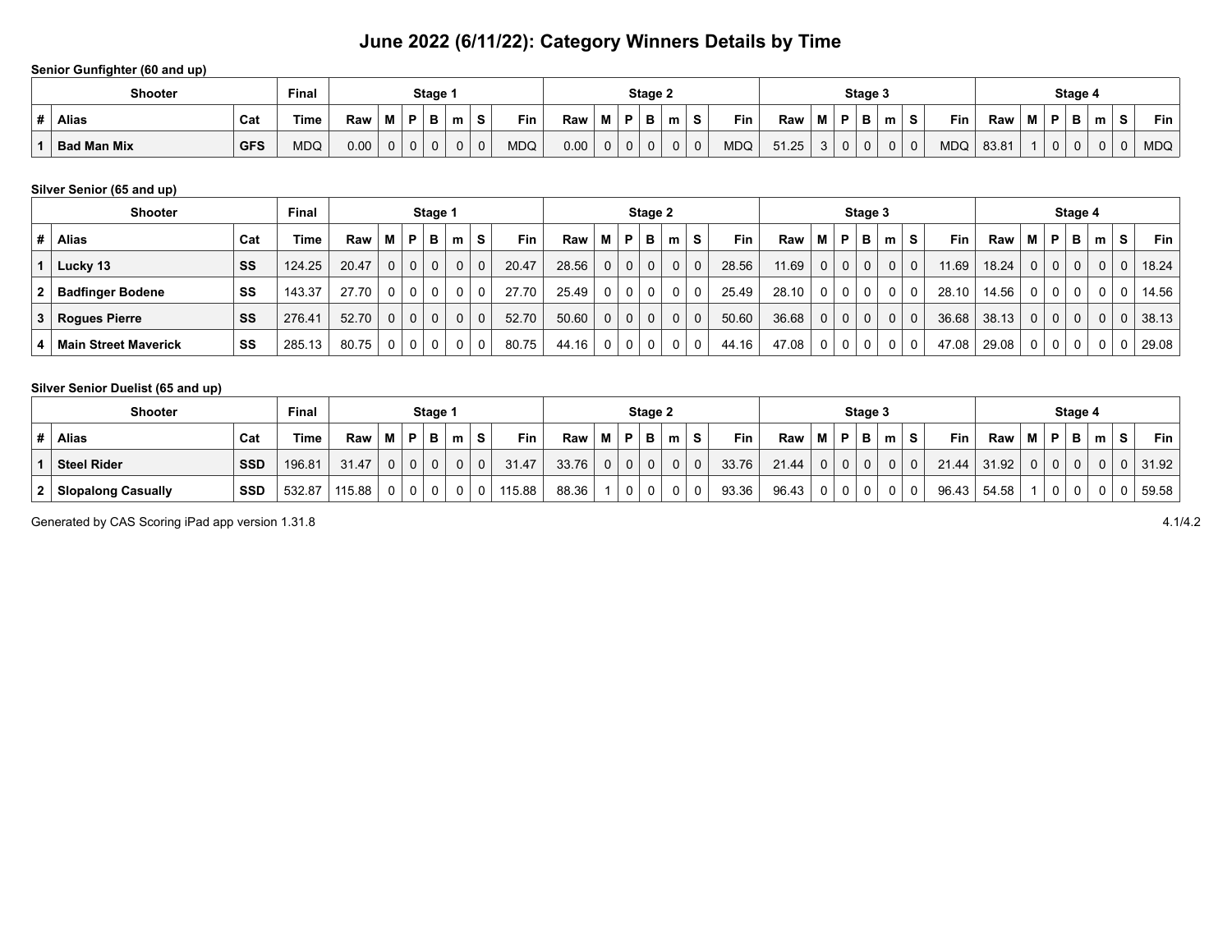### **Senior Gunfighter (60 and up)**

| Shooter            |            | <b>Final</b> |      |                |    | Stage 1 |   |          |            |      |   |             | Stage 2  |   |              |     |       |   |          | Stage 3 |   |   |            |       |   |   | Stage 4  |   |        |            |
|--------------------|------------|--------------|------|----------------|----|---------|---|----------|------------|------|---|-------------|----------|---|--------------|-----|-------|---|----------|---------|---|---|------------|-------|---|---|----------|---|--------|------------|
| <b>Alias</b>       | Cat        | Time         | Raw  | M <sub>1</sub> | D. | в       | m |          | Fin        | Raw  | M | P           | в        | m | <b>S</b>     | Fin | Raw   | M | P        | в       | m | S | <b>Fin</b> | Raw   | М | P | . .<br>P | m | e<br>э | Fin.       |
| <b>Bad Man Mix</b> | <b>GFS</b> | <b>MDQ</b>   | 0.00 | 0              |    |         |   | $\Omega$ | <b>MDQ</b> | 0.00 | 0 | $\mathbf 0$ | $\Omega$ |   | $\mathbf{0}$ | MDC | 51.25 |   | $\Omega$ | 0       | 0 |   | MDQ        | 83.81 |   |   |          |   |        | <b>MDQ</b> |

### **Silver Senior (65 and up)**

|   | <b>Shooter</b>              |     | <b>Final</b> |       |             |                | Stage 1  |   |             |            |       |                |          | Stage 2  |                |                |            |         |                | Stage 3  |                |          |       |       |              |              | Stage 4      |          |              |            |
|---|-----------------------------|-----|--------------|-------|-------------|----------------|----------|---|-------------|------------|-------|----------------|----------|----------|----------------|----------------|------------|---------|----------------|----------|----------------|----------|-------|-------|--------------|--------------|--------------|----------|--------------|------------|
| # | <b>Alias</b>                | Cat | Time         | Raw   | М           | P              | в        | m | S.          | <b>Fin</b> | Raw   | м              | P        | в        | m <sub>1</sub> | S.             | <b>Fin</b> | Raw   M | P.             | в        | m              | ∴ S      | Fin   | Raw   | M            | P            | в            | m        | S            | <b>Fin</b> |
|   | Lucky 13                    | SS  | 124.25       | 20.47 | $\mathbf 0$ | $\mathbf{0}$   | $\Omega$ | 0 | $\mathbf 0$ | 20.47      | 28.56 | $\Omega$       | $\Omega$ | (0)      | 0 <sup>1</sup> | $\overline{0}$ | 28.56      | 11.69   | 0 <sup>1</sup> | $\Omega$ | 0 <sup>1</sup> | $\Omega$ | 11.69 | 18.24 | $\mathbf{0}$ | $\mathbf{0}$ | $\Omega$     | $\Omega$ | $\Omega$     | 18.24      |
|   | <b>Badfinger Bodene</b>     | SS  | 143.37       | 27.70 | $\Omega$    | 0              | 0        |   | 0           | 27.70      | 25.49 | 0              | 0        | 0        | 0 <sup>1</sup> | 0              | 25.49      | 28.10   |                |          |                | 0        | 28.10 | 14.56 | $\mathbf 0$  | $\mathbf 0$  | $\mathbf{0}$ |          | $\mathbf{0}$ | 14.56      |
| 3 | Rogues Pierre               | SS  | 276.41       | 52.70 | $\Omega$    | 0 <sub>1</sub> | $\Omega$ |   | $\mathbf 0$ | 52.70      | 50.60 | 0 <sup>1</sup> | $\Omega$ | $\Omega$ | 0 <sup>1</sup> | $\overline{0}$ | 50.60      | 36.68   | 0 <sup>1</sup> | $\Omega$ | $\Omega$       | 0        | 36.68 | 38.13 | $\Omega$     | $\Omega$     | $\Omega$     | $\Omega$ | $\Omega$     | 38.13      |
|   | <b>Main Street Maverick</b> | SS  | 285.13       | 80.75 | $\Omega$    | $\Omega$       | $\Omega$ |   | 0           | 80.75      | 44.16 | $\Omega$       | $\Omega$ |          |                | $\Omega$       | 44.16      | 47.08   | 0              |          | $\Omega$       | 0        | 47.08 | 29.08 | $\Omega$     | 0            | $\Omega$     | 0        | $\Omega$     | 29.08      |

### **Silver Senior Duelist (65 and up)**

| <b>Shooter</b>            |            | <b>Final</b> |        |   |              | Stage 1     |   |          |        |       |   |          | Stage 2 |   |             |       |       |          | Stage 3 |   |          |            |       |   |   | Stage 4 |   |   |       |
|---------------------------|------------|--------------|--------|---|--------------|-------------|---|----------|--------|-------|---|----------|---------|---|-------------|-------|-------|----------|---------|---|----------|------------|-------|---|---|---------|---|---|-------|
| <b>Alias</b>              | Cat        | Time         | Raw    | М | P            | B           | m | <b>S</b> | Fin    | Raw   | м | P        | в       | m | S           | Fin   | Raw   | D        | в       | m | <b>S</b> | <b>Fin</b> | Raw   | М | D | в       | m | s | Fin   |
| <b>Steel Rider</b>        | <b>SSD</b> | 196.81       | 31.47  | 0 | 0            | $\Omega$    |   | $\Omega$ | 31.47  | 33.76 |   | $\Omega$ |         |   | $\mathbf 0$ | 33.76 | 21.44 | $\Omega$ |         |   |          | 21.44      | 31.92 | 0 | 0 |         |   |   | 31.92 |
| <b>Slopalong Casually</b> | <b>SSD</b> | 532.87       | 115.88 | 0 | $\mathbf{0}$ | $\mathbf 0$ | 0 | 0        | 115.88 | 88.36 |   | 0        |         |   | 0           | 93.36 | 96.43 | 0        |         |   |          | 96.43      | 54.58 |   |   |         |   |   | 59.58 |

Generated by CAS Scoring iPad app version 1.31.8 4.1/4.2